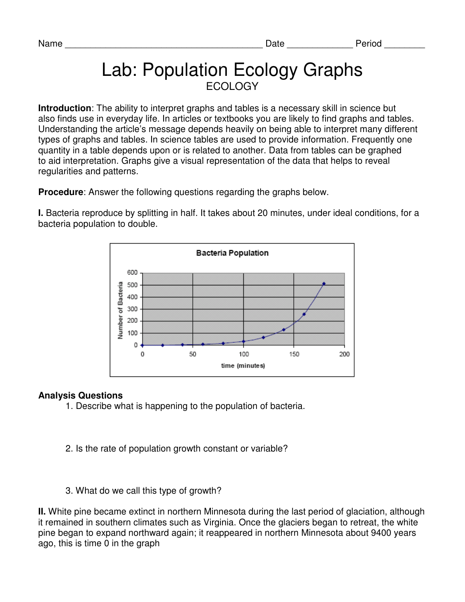# Lab: Population Ecology Graphs ECOLOGY

**Introduction**: The ability to interpret graphs and tables is a necessary skill in science but also finds use in everyday life. In articles or textbooks you are likely to find graphs and tables. Understanding the article's message depends heavily on being able to interpret many different types of graphs and tables. In science tables are used to provide information. Frequently one quantity in a table depends upon or is related to another. Data from tables can be graphed to aid interpretation. Graphs give a visual representation of the data that helps to reveal regularities and patterns.

**Procedure**: Answer the following questions regarding the graphs below.

**I.** Bacteria reproduce by splitting in half. It takes about 20 minutes, under ideal conditions, for a bacteria population to double.



## **Analysis Questions**

- 1. Describe what is happening to the population of bacteria.
- 2. Is the rate of population growth constant or variable?
- 3. What do we call this type of growth?

**II.** White pine became extinct in northern Minnesota during the last period of glaciation, although it remained in southern climates such as Virginia. Once the glaciers began to retreat, the white pine began to expand northward again; it reappeared in northern Minnesota about 9400 years ago, this is time 0 in the graph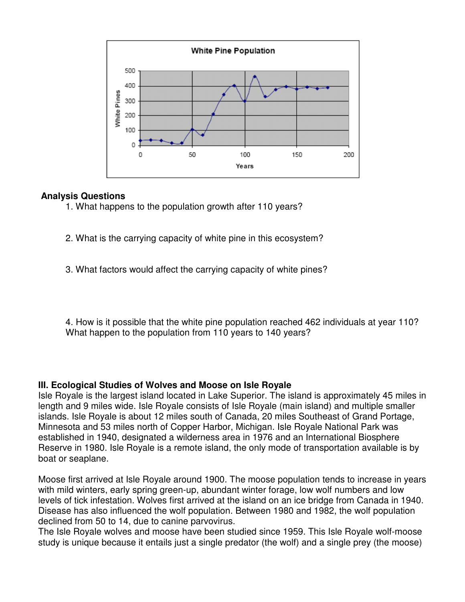

### **Analysis Questions**

- 1. What happens to the population growth after 110 years?
- 2. What is the carrying capacity of white pine in this ecosystem?
- 3. What factors would affect the carrying capacity of white pines?

4. How is it possible that the white pine population reached 462 individuals at year 110? What happen to the population from 110 years to 140 years?

#### **III. Ecological Studies of Wolves and Moose on Isle Royale**

Isle Royale is the largest island located in Lake Superior. The island is approximately 45 miles in length and 9 miles wide. Isle Royale consists of Isle Royale (main island) and multiple smaller islands. Isle Royale is about 12 miles south of Canada, 20 miles Southeast of Grand Portage, Minnesota and 53 miles north of Copper Harbor, Michigan. Isle Royale National Park was established in 1940, designated a wilderness area in 1976 and an International Biosphere Reserve in 1980. Isle Royale is a remote island, the only mode of transportation available is by boat or seaplane.

Moose first arrived at Isle Royale around 1900. The moose population tends to increase in years with mild winters, early spring green-up, abundant winter forage, low wolf numbers and low levels of tick infestation. Wolves first arrived at the island on an ice bridge from Canada in 1940. Disease has also influenced the wolf population. Between 1980 and 1982, the wolf population declined from 50 to 14, due to canine parvovirus.

The Isle Royale wolves and moose have been studied since 1959. This Isle Royale wolf-moose study is unique because it entails just a single predator (the wolf) and a single prey (the moose)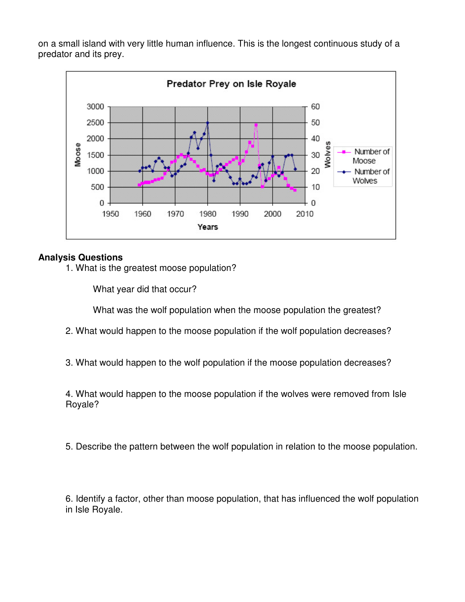on a small island with very little human influence. This is the longest continuous study of a predator and its prey.



## **Analysis Questions**

1. What is the greatest moose population?

What year did that occur?

What was the wolf population when the moose population the greatest?

- 2. What would happen to the moose population if the wolf population decreases?
- 3. What would happen to the wolf population if the moose population decreases?

4. What would happen to the moose population if the wolves were removed from Isle Royale?

5. Describe the pattern between the wolf population in relation to the moose population.

6. Identify a factor, other than moose population, that has influenced the wolf population in Isle Royale.